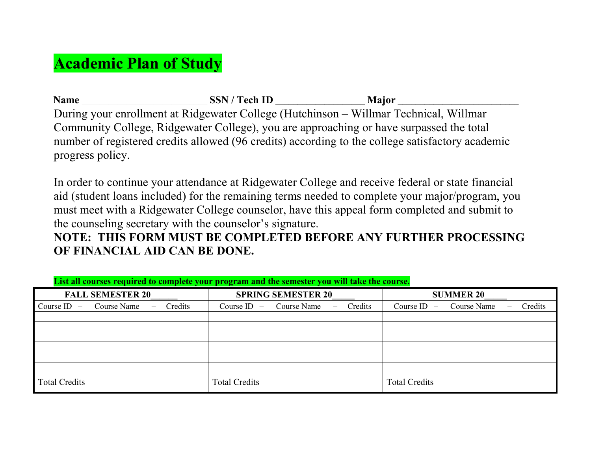## **Academic Plan of Study**

| <b>Name</b>                                                                                                                                                                                                                                                                                                                                                                                           | <b>SSN</b> / Tech ID | <b>Major</b> |  |
|-------------------------------------------------------------------------------------------------------------------------------------------------------------------------------------------------------------------------------------------------------------------------------------------------------------------------------------------------------------------------------------------------------|----------------------|--------------|--|
| During your enrollment at Ridgewater College (Hutchinson – Willmar Technical, Willmar                                                                                                                                                                                                                                                                                                                 |                      |              |  |
| Community College, Ridgewater College), you are approaching or have surpassed the total                                                                                                                                                                                                                                                                                                               |                      |              |  |
| number of registered credits allowed (96 credits) according to the college satisfactory academic                                                                                                                                                                                                                                                                                                      |                      |              |  |
| progress policy.                                                                                                                                                                                                                                                                                                                                                                                      |                      |              |  |
|                                                                                                                                                                                                                                                                                                                                                                                                       |                      |              |  |
| In order to continue your attendance at Ridgewater College and receive federal or state financial<br>$\mathbf{1}$ and $\mathbf{1}$ and $\mathbf{1}$ and $\mathbf{1}$ and $\mathbf{1}$ and $\mathbf{1}$ and $\mathbf{1}$ and $\mathbf{1}$ and $\mathbf{1}$ and $\mathbf{1}$ and $\mathbf{1}$ and $\mathbf{1}$ and $\mathbf{1}$ and $\mathbf{1}$ and $\mathbf{1}$ and $\mathbf{1}$ and $\mathbf{1}$ and |                      |              |  |

aid (student loans included) for the remaining terms needed to complete your major/program, you must meet with a Ridgewater College counselor, have this appeal form completed and submit to the counseling secretary with the counselor's signature.

## **NOTE: THIS FORM MUST BE COMPLETED BEFORE ANY FURTHER PROCESSING OF FINANCIAL AID CAN BE DONE.**

| $F - 9 = 0.0000$                                    |                                                                  |                                                  |  |  |
|-----------------------------------------------------|------------------------------------------------------------------|--------------------------------------------------|--|--|
| <b>FALL SEMESTER 20</b>                             | <b>SPRING SEMESTER 20</b>                                        | <b>SUMMER 20</b>                                 |  |  |
| Credits<br>Course ID $-$<br>Course Name<br>$\equiv$ | Credits<br>Course $ID - Course Name$<br>$\overline{\phantom{0}}$ | Credits<br>Course $ID - Course Name$<br>$\equiv$ |  |  |
|                                                     |                                                                  |                                                  |  |  |
|                                                     |                                                                  |                                                  |  |  |
|                                                     |                                                                  |                                                  |  |  |
|                                                     |                                                                  |                                                  |  |  |
|                                                     |                                                                  |                                                  |  |  |
|                                                     |                                                                  |                                                  |  |  |
| <b>Total Credits</b>                                | <b>Total Credits</b>                                             | <b>Total Credits</b>                             |  |  |

**List all courses required to complete your program and the semester you will take the course.**